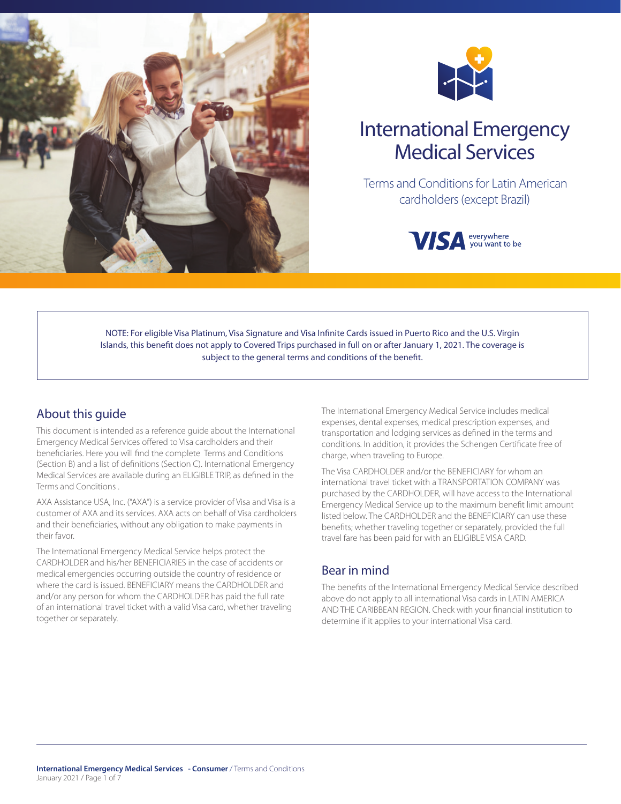



# International Emergency Medical Services

 Terms and Conditions for Latin American cardholders (except Brazil)



NOTE: For eligible Visa Platinum, Visa Signature and Visa Infinite Cards issued in Puerto Rico and the U.S. Virgin Islands, this benefit does not apply to Covered Trips purchased in full on or after January 1, 2021. The coverage is subject to the general terms and conditions of the benefit.

### About this guide

This document is intended as a reference guide about the International Emergency Medical Services offered to Visa cardholders and their beneficiaries. Here you will find the complete Terms and Conditions (Section B) and a list of definitions (Section C). International Emergency Medical Services are available during an ELIGIBLE TRIP, as defined in the Terms and Conditions .

AXA Assistance USA, Inc. ("AXA") is a service provider of Visa and Visa is a customer of AXA and its services. AXA acts on behalf of Visa cardholders and their beneficiaries, without any obligation to make payments in their favor.

The International Emergency Medical Service helps protect the CARDHOLDER and his/her BENEFICIARIES in the case of accidents or medical emergencies occurring outside the country of residence or where the card is issued. BENEFICIARY means the CARDHOLDER and and/or any person for whom the CARDHOLDER has paid the full rate of an international travel ticket with a valid Visa card, whether traveling together or separately.

The International Emergency Medical Service includes medical expenses, dental expenses, medical prescription expenses, and transportation and lodging services as defined in the terms and conditions. In addition, it provides the Schengen Certificate free of charge, when traveling to Europe.

The Visa CARDHOLDER and/or the BENEFICIARY for whom an international travel ticket with a TRANSPORTATION COMPANY was purchased by the CARDHOLDER, will have access to the International Emergency Medical Service up to the maximum benefit limit amount listed below. The CARDHOLDER and the BENEFICIARY can use these benefits; whether traveling together or separately, provided the full travel fare has been paid for with an ELIGIBLE VISA CARD.

### Bear in mind

The benefits of the International Emergency Medical Service described above do not apply to all international Visa cards in LATIN AMERICA AND THE CARIBBEAN REGION. Check with your financial institution to determine if it applies to your international Visa card.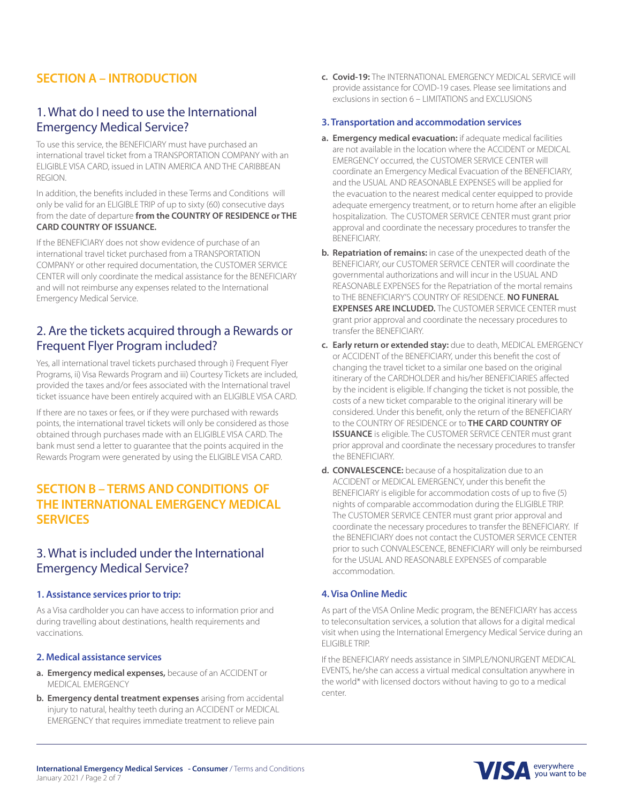### **SECTION A – INTRODUCTION**

### 1. What do I need to use the International Emergency Medical Service?

To use this service, the BENEFICIARY must have purchased an international travel ticket from a TRANSPORTATION COMPANY with an ELIGIBLE VISA CARD, issued in LATIN AMERICA AND THE CARIBBEAN REGION.

In addition, the benefits included in these Terms and Conditions will only be valid for an ELIGIBLE TRIP of up to sixty (60) consecutive days from the date of departure **from the COUNTRY OF RESIDENCE or THE CARD COUNTRY OF ISSUANCE.**

If the BENEFICIARY does not show evidence of purchase of an international travel ticket purchased from a TRANSPORTATION COMPANY or other required documentation, the CUSTOMER SERVICE CENTER will only coordinate the medical assistance for the BENEFICIARY and will not reimburse any expenses related to the International Emergency Medical Service.

### 2. Are the tickets acquired through a Rewards or Frequent Flyer Program included?

Yes, all international travel tickets purchased through i) Frequent Flyer Programs, ii) Visa Rewards Program and iii) Courtesy Tickets are included, provided the taxes and/or fees associated with the International travel ticket issuance have been entirely acquired with an ELIGIBLE VISA CARD.

If there are no taxes or fees, or if they were purchased with rewards points, the international travel tickets will only be considered as those obtained through purchases made with an ELIGIBLE VISA CARD. The bank must send a letter to guarantee that the points acquired in the Rewards Program were generated by using the ELIGIBLE VISA CARD.

### **SECTION B – TERMS AND CONDITIONS OF THE INTERNATIONAL EMERGENCY MEDICAL SERVICES**

### 3. What is included under the International Emergency Medical Service?

#### **1. Assistance services prior to trip:**

As a Visa cardholder you can have access to information prior and during travelling about destinations, health requirements and vaccinations.

#### **2. Medical assistance services**

- **a. Emergency medical expenses,** because of an ACCIDENT or MEDICAL EMERGENCY
- **b. Emergency dental treatment expenses** arising from accidental injury to natural, healthy teeth during an ACCIDENT or MEDICAL EMERGENCY that requires immediate treatment to relieve pain

**c. Covid-19:** The INTERNATIONAL EMERGENCY MEDICAL SERVICE will provide assistance for COVID-19 cases. Please see limitations and exclusions in section 6 – LIMITATIONS and EXCLUSIONS

#### **3. Transportation and accommodation services**

- **a. Emergency medical evacuation:** if adequate medical facilities are not available in the location where the ACCIDENT or MEDICAL EMERGENCY occurred, the CUSTOMER SERVICE CENTER will coordinate an Emergency Medical Evacuation of the BENEFICIARY, and the USUAL AND REASONABLE EXPENSES will be applied for the evacuation to the nearest medical center equipped to provide adequate emergency treatment, or to return home after an eligible hospitalization. The CUSTOMER SERVICE CENTER must grant prior approval and coordinate the necessary procedures to transfer the BENEFICIARY.
- **b. Repatriation of remains:** in case of the unexpected death of the BENEFICIARY, our CUSTOMER SERVICE CENTER will coordinate the governmental authorizations and will incur in the USUAL AND REASONABLE EXPENSES for the Repatriation of the mortal remains to THE BENEFICIARY'S COUNTRY OF RESIDENCE. **NO FUNERAL EXPENSES ARE INCLUDED.** The CUSTOMER SERVICE CENTER must grant prior approval and coordinate the necessary procedures to transfer the BENEFICIARY.
- **c. Early return or extended stay:** due to death, MEDICAL EMERGENCY or ACCIDENT of the BENEFICIARY, under this benefit the cost of changing the travel ticket to a similar one based on the original itinerary of the CARDHOLDER and his/her BENEFICIARIES affected by the incident is eligible. If changing the ticket is not possible, the costs of a new ticket comparable to the original itinerary will be considered. Under this benefit, only the return of the BENEFICIARY to the COUNTRY OF RESIDENCE or to **THE CARD COUNTRY OF ISSUANCE** is eligible. The CUSTOMER SERVICE CENTER must grant prior approval and coordinate the necessary procedures to transfer the BENEFICIARY.
- **d. CONVALESCENCE:** because of a hospitalization due to an ACCIDENT or MEDICAL EMERGENCY, under this benefit the BENEFICIARY is eligible for accommodation costs of up to five (5) nights of comparable accommodation during the ELIGIBLE TRIP. The CUSTOMER SERVICE CENTER must grant prior approval and coordinate the necessary procedures to transfer the BENEFICIARY. If the BENEFICIARY does not contact the CUSTOMER SERVICE CENTER prior to such CONVALESCENCE, BENEFICIARY will only be reimbursed for the USUAL AND REASONABLE EXPENSES of comparable accommodation.

#### **4. Visa Online Medic**

As part of the VISA Online Medic program, the BENEFICIARY has access to teleconsultation services, a solution that allows for a digital medical visit when using the International Emergency Medical Service during an ELIGIBLE TRIP.

If the BENEFICIARY needs assistance in SIMPLE/NONURGENT MEDICAL EVENTS, he/she can access a virtual medical consultation anywhere in the world\* with licensed doctors without having to go to a medical center.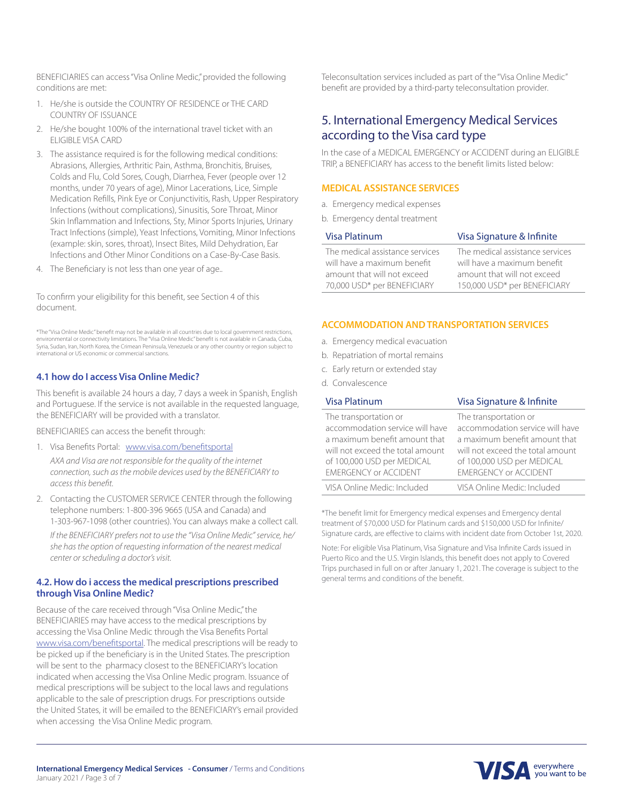BENEFICIARIES can access "Visa Online Medic," provided the following conditions are met:

- 1. He/she is outside the COUNTRY OF RESIDENCE or THE CARD COUNTRY OF ISSUANCE
- 2. He/she bought 100% of the international travel ticket with an ELIGIBLE VISA CARD
- 3. The assistance required is for the following medical conditions: Abrasions, Allergies, Arthritic Pain, Asthma, Bronchitis, Bruises, Colds and Flu, Cold Sores, Cough, Diarrhea, Fever (people over 12 months, under 70 years of age), Minor Lacerations, Lice, Simple Medication Refills, Pink Eye or Conjunctivitis, Rash, Upper Respiratory Infections (without complications), Sinusitis, Sore Throat, Minor Skin Inflammation and Infections, Sty, Minor Sports Injuries, Urinary Tract Infections (simple), Yeast Infections, Vomiting, Minor Infections (example: skin, sores, throat), Insect Bites, Mild Dehydration, Ear Infections and Other Minor Conditions on a Case-By-Case Basis.
- 4. The Beneficiary is not less than one year of age..

To confirm your eligibility for this benefit, see Section 4 of this document.

\*The "Visa Online Medic" benefit may not be available in all countries due to local government restrictions, environmental or connectivity limitations. The "Visa Online Medic" benefit is not available in Canada, Cuba, Syria, Sudan, Iran, North Korea, the Crimean Peninsula, Venezuela or any other country or region subject to international or US economic or commercial sanctions.

#### **4.1 how do I access Visa Online Medic?**

This benefit is available 24 hours a day, 7 days a week in Spanish, English and Portuguese. If the service is not available in the requested language, the BENEFICIARY will be provided with a translator.

BENEFICIARIES can access the benefit through:

1. Visa Benefits Portal: www.visa.com/benefitsportal

*AXA and Visa are not responsible for the quality of the internet connection, such as the mobile devices used by the BENEFICIARY to access this benefit.*

2. Contacting the CUSTOMER SERVICE CENTER through the following telephone numbers: 1-800-396 9665 (USA and Canada) and 1-303-967-1098 (other countries). You can always make a collect call. *If the BENEFICIARY prefers not to use the "Visa Online Medic" service, he/ she has the option of requesting information of the nearest medical center or scheduling a doctor's visit.*

#### **4.2. How do i access the medical prescriptions prescribed through Visa Online Medic?**

Because of the care received through "Visa Online Medic," the BENEFICIARIES may have access to the medical prescriptions by accessing the Visa Online Medic through the Visa Benefits Portal www.visa.com/benefitsportal. The medical prescriptions will be ready to be picked up if the beneficiary is in the United States. The prescription will be sent to the pharmacy closest to the BENEFICIARY's location indicated when accessing the Visa Online Medic program. Issuance of medical prescriptions will be subject to the local laws and regulations applicable to the sale of prescription drugs. For prescriptions outside the United States, it will be emailed to the BENEFICIARY's email provided when accessing the Visa Online Medic program.

Teleconsultation services included as part of the "Visa Online Medic" benefit are provided by a third-party teleconsultation provider.

### 5. International Emergency Medical Services according to the Visa card type

In the case of a MEDICAL EMERGENCY or ACCIDENT during an ELIGIBLE TRIP, a BENEFICIARY has access to the benefit limits listed below:

#### **MEDICAL ASSISTANCE SERVICES**

- a. Emergency medical expenses
- b. Emergency dental treatment

| Visa Platinum                   | Visa Signature & Infinite       |  |  |
|---------------------------------|---------------------------------|--|--|
| The medical assistance services | The medical assistance services |  |  |
| will have a maximum benefit     | will have a maximum benefit     |  |  |
| amount that will not exceed     | amount that will not exceed     |  |  |
| 70,000 USD* per BENEFICIARY     | 150,000 USD* per BENEFICIARY    |  |  |

#### **ACCOMMODATION AND TRANSPORTATION SERVICES**

- a. Emergency medical evacuation
- b. Repatriation of mortal remains
- c. Early return or extended stay
- d. Convalescence

| Visa Platinum                    | Visa Signature & Infinite        |
|----------------------------------|----------------------------------|
| The transportation or            | The transportation or            |
| accommodation service will have  | accommodation service will have  |
| a maximum benefit amount that    | a maximum benefit amount that    |
| will not exceed the total amount | will not exceed the total amount |
| of 100,000 USD per MEDICAL       | of 100,000 USD per MEDICAL       |
| <b>EMERGENCY or ACCIDENT</b>     | <b>EMERGENCY or ACCIDENT</b>     |
| VISA Online Medic: Included      | VISA Online Medic: Included      |

\*The benefit limit for Emergency medical expenses and Emergency dental treatment of \$70,000 USD for Platinum cards and \$150,000 USD for Infinite/ Signature cards, are effective to claims with incident date from October 1st, 2020.

Note: For eligible Visa Platinum, Visa Signature and Visa Infinite Cards issued in Puerto Rico and the U.S. Virgin Islands, this benefit does not apply to Covered Trips purchased in full on or after January 1, 2021. The coverage is subject to the general terms and conditions of the benefit.

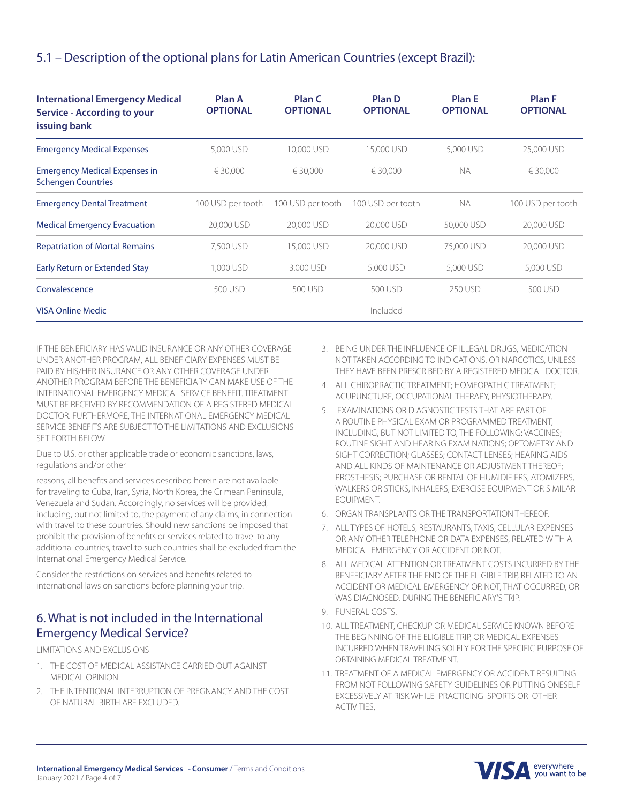### 5.1 – Description of the optional plans for Latin American Countries (except Brazil):

| <b>International Emergency Medical</b><br><b>Service - According to your</b><br>issuing bank | Plan A<br><b>OPTIONAL</b> | Plan C<br><b>OPTIONAL</b> | Plan D<br><b>OPTIONAL</b> | <b>Plan E</b><br><b>OPTIONAL</b> | <b>Plan F</b><br><b>OPTIONAL</b> |
|----------------------------------------------------------------------------------------------|---------------------------|---------------------------|---------------------------|----------------------------------|----------------------------------|
| <b>Emergency Medical Expenses</b>                                                            | 5,000 USD                 | 10,000 USD                | 15,000 USD                | 5,000 USD                        | 25,000 USD                       |
| <b>Emergency Medical Expenses in</b><br><b>Schengen Countries</b>                            | € 30.000                  | € 30.000                  | € 30.000                  | <b>NA</b>                        | € 30.000                         |
| <b>Emergency Dental Treatment</b>                                                            | 100 USD per tooth         | 100 USD per tooth         | 100 USD per tooth         | <b>NA</b>                        | 100 USD per tooth                |
| <b>Medical Emergency Evacuation</b>                                                          | 20,000 USD                | 20,000 USD                | 20,000 USD                | 50,000 USD                       | 20,000 USD                       |
| <b>Repatriation of Mortal Remains</b>                                                        | 7,500 USD                 | 15,000 USD                | 20,000 USD                | 75,000 USD                       | 20,000 USD                       |
| Early Return or Extended Stay                                                                | 1,000 USD                 | 3,000 USD                 | 5,000 USD                 | 5,000 USD                        | 5,000 USD                        |
| Convalescence                                                                                | 500 USD                   | 500 USD                   | 500 USD                   | 250 USD                          | 500 USD                          |
| <b>VISA Online Medic</b>                                                                     | Included                  |                           |                           |                                  |                                  |

IF THE BENEFICIARY HAS VALID INSURANCE OR ANY OTHER COVERAGE UNDER ANOTHER PROGRAM, ALL BENEFICIARY EXPENSES MUST BE PAID BY HIS/HER INSURANCE OR ANY OTHER COVERAGE UNDER ANOTHER PROGRAM BEFORE THE BENEFICIARY CAN MAKE USE OF THE INTERNATIONAL EMERGENCY MEDICAL SERVICE BENEFIT. TREATMENT MUST BE RECEIVED BY RECOMMENDATION OF A REGISTERED MEDICAL DOCTOR. FURTHERMORE, THE INTERNATIONAL EMERGENCY MEDICAL SERVICE BENEFITS ARE SUBJECT TO THE LIMITATIONS AND EXCLUSIONS SET FORTH BELOW.

Due to U.S. or other applicable trade or economic sanctions, laws, regulations and/or other

reasons, all benefits and services described herein are not available for traveling to Cuba, Iran, Syria, North Korea, the Crimean Peninsula, Venezuela and Sudan. Accordingly, no services will be provided, including, but not limited to, the payment of any claims, in connection with travel to these countries. Should new sanctions be imposed that prohibit the provision of benefits or services related to travel to any additional countries, travel to such countries shall be excluded from the International Emergency Medical Service.

Consider the restrictions on services and benefits related to international laws on sanctions before planning your trip.

### 6. What is not included in the International Emergency Medical Service?

LIMITATIONS AND EXCLUSIONS

- 1. THE COST OF MEDICAL ASSISTANCE CARRIED OUT AGAINST MEDICAL OPINION.
- 2. THE INTENTIONAL INTERRUPTION OF PREGNANCY AND THE COST OF NATURAL BIRTH ARE EXCLUDED.
- 3. BEING UNDER THE INFLUENCE OF ILLEGAL DRUGS, MEDICATION NOT TAKEN ACCORDING TO INDICATIONS, OR NARCOTICS, UNLESS THEY HAVE BEEN PRESCRIBED BY A REGISTERED MEDICAL DOCTOR.
- 4. ALL CHIROPRACTIC TREATMENT; HOMEOPATHIC TREATMENT; ACUPUNCTURE, OCCUPATIONAL THERAPY, PHYSIOTHERAPY.
- 5. EXAMINATIONS OR DIAGNOSTIC TESTS THAT ARE PART OF A ROUTINE PHYSICAL EXAM OR PROGRAMMED TREATMENT, INCLUDING, BUT NOT LIMITED TO, THE FOLLOWING: VACCINES; ROUTINE SIGHT AND HEARING EXAMINATIONS; OPTOMETRY AND SIGHT CORRECTION; GLASSES; CONTACT LENSES; HEARING AIDS AND ALL KINDS OF MAINTENANCE OR ADJUSTMENT THEREOF; PROSTHESIS; PURCHASE OR RENTAL OF HUMIDIFIERS, ATOMIZERS, WALKERS OR STICKS, INHALERS, EXERCISE EQUIPMENT OR SIMILAR EQUIPMENT.
- 6. ORGAN TRANSPLANTS OR THE TRANSPORTATION THEREOF.
- 7. ALL TYPES OF HOTELS, RESTAURANTS, TAXIS, CELLULAR EXPENSES OR ANY OTHER TELEPHONE OR DATA EXPENSES, RELATED WITH A MEDICAL EMERGENCY OR ACCIDENT OR NOT.
- 8. ALL MEDICAL ATTENTION OR TREATMENT COSTS INCURRED BY THE BENEFICIARY AFTER THE END OF THE ELIGIBLE TRIP, RELATED TO AN ACCIDENT OR MEDICAL EMERGENCY OR NOT, THAT OCCURRED, OR WAS DIAGNOSED, DURING THE BENEFICIARY'S TRIP.
- 9. FUNERAL COSTS.
- 10. ALL TREATMENT, CHECKUP OR MEDICAL SERVICE KNOWN BEFORE THE BEGINNING OF THE ELIGIBLE TRIP, OR MEDICAL EXPENSES INCURRED WHEN TRAVELING SOLELY FOR THE SPECIFIC PURPOSE OF OBTAINING MEDICAL TREATMENT.
- 11. TREATMENT OF A MEDICAL EMERGENCY OR ACCIDENT RESULTING FROM NOT FOLLOWING SAFETY GUIDELINES OR PUTTING ONESELF EXCESSIVELY AT RISK WHILE PRACTICING SPORTS OR OTHER ACTIVITIES,

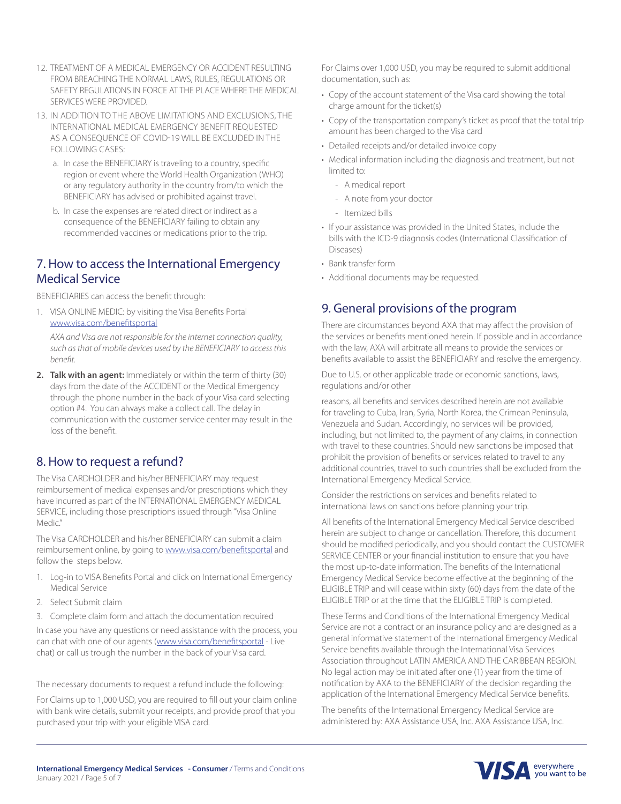- 12. TREATMENT OF A MEDICAL EMERGENCY OR ACCIDENT RESULTING FROM BREACHING THE NORMAL LAWS, RULES, REGULATIONS OR SAFETY REGULATIONS IN FORCE AT THE PLACE WHERE THE MEDICAL SERVICES WERE PROVIDED.
- 13. IN ADDITION TO THE ABOVE LIMITATIONS AND EXCLUSIONS, THE INTERNATIONAL MEDICAL EMERGENCY BENEFIT REQUESTED AS A CONSEQUENCE OF COVID-19 WILL BE EXCLUDED IN THE FOLLOWING CASES:
	- a. In case the BENEFICIARY is traveling to a country, specific region or event where the World Health Organization (WHO) or any regulatory authority in the country from/to which the BENEFICIARY has advised or prohibited against travel.
	- b. In case the expenses are related direct or indirect as a consequence of the BENEFICIARY failing to obtain any recommended vaccines or medications prior to the trip.

### 7. How to access the International Emergency Medical Service

BENEFICIARIES can access the benefit through:

1. VISA ONLINE MEDIC: by visiting the Visa Benefits Portal www.visa.com/benefitsportal

*AXA and Visa are not responsible for the internet connection quality, such as that of mobile devices used by the BENEFICIARY to access this benefit.*

**2. Talk with an agent:** Immediately or within the term of thirty (30) days from the date of the ACCIDENT or the Medical Emergency through the phone number in the back of your Visa card selecting option #4. You can always make a collect call. The delay in communication with the customer service center may result in the loss of the benefit.

### 8. How to request a refund?

The Visa CARDHOLDER and his/her BENEFICIARY may request reimbursement of medical expenses and/or prescriptions which they have incurred as part of the INTERNATIONAL EMERGENCY MEDICAL SERVICE, including those prescriptions issued through "Visa Online Medic."

The Visa CARDHOLDER and his/her BENEFICIARY can submit a claim reimbursement online, by going to **www.visa.com/benefitsportal** and follow the steps below.

- 1. Log-in to VISA Benefits Portal and click on International Emergency Medical Service
- 2. Select Submit claim
- 3. Complete claim form and attach the documentation required

In case you have any questions or need assistance with the process, you can chat with one of our agents (www.visa.com/benefitsportal - Live chat) or call us trough the number in the back of your Visa card.

The necessary documents to request a refund include the following:

For Claims up to 1,000 USD, you are required to fill out your claim online with bank wire details, submit your receipts, and provide proof that you purchased your trip with your eligible VISA card.

For Claims over 1,000 USD, you may be required to submit additional documentation, such as:

- Copy of the account statement of the Visa card showing the total charge amount for the ticket(s)
- Copy of the transportation company's ticket as proof that the total trip amount has been charged to the Visa card
- Detailed receipts and/or detailed invoice copy
- Medical information including the diagnosis and treatment, but not limited to:
	- A medical report
	- A note from your doctor
	- Itemized bills
- If your assistance was provided in the United States, include the bills with the ICD-9 diagnosis codes (International Classification of Diseases)
- Bank transfer form
- Additional documents may be requested.

### 9. General provisions of the program

There are circumstances beyond AXA that may affect the provision of the services or benefits mentioned herein. If possible and in accordance with the law, AXA will arbitrate all means to provide the services or benefits available to assist the BENEFICIARY and resolve the emergency.

Due to U.S. or other applicable trade or economic sanctions, laws, regulations and/or other

reasons, all benefits and services described herein are not available for traveling to Cuba, Iran, Syria, North Korea, the Crimean Peninsula, Venezuela and Sudan. Accordingly, no services will be provided, including, but not limited to, the payment of any claims, in connection with travel to these countries. Should new sanctions be imposed that prohibit the provision of benefits or services related to travel to any additional countries, travel to such countries shall be excluded from the International Emergency Medical Service.

Consider the restrictions on services and benefits related to international laws on sanctions before planning your trip.

All benefits of the International Emergency Medical Service described herein are subject to change or cancellation. Therefore, this document should be modified periodically, and you should contact the CUSTOMER SERVICE CENTER or your financial institution to ensure that you have the most up-to-date information. The benefits of the International Emergency Medical Service become effective at the beginning of the ELIGIBLE TRIP and will cease within sixty (60) days from the date of the ELIGIBLE TRIP or at the time that the ELIGIBLE TRIP is completed.

These Terms and Conditions of the International Emergency Medical Service are not a contract or an insurance policy and are designed as a general informative statement of the International Emergency Medical Service benefits available through the International Visa Services Association throughout LATIN AMERICA AND THE CARIBBEAN REGION. No legal action may be initiated after one (1) year from the time of notification by AXA to the BENEFICIARY of the decision regarding the application of the International Emergency Medical Service benefits.

The benefits of the International Emergency Medical Service are administered by: AXA Assistance USA, Inc. AXA Assistance USA, Inc.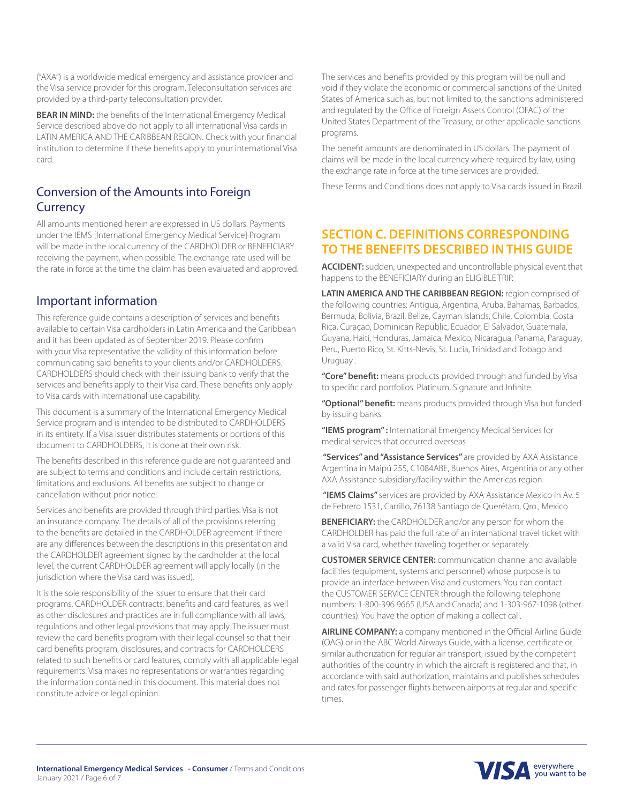**BEAR IN MIND:** the benefits of the International Emergency Medical Service described above do not apply to all international Visa cards in LATIN AMERICA AND THE CARIBBEAN REGION. Check with your financial institution to determine if these benefits apply to your international Visa card.

## Conversion of the Amounts into Foreign **Currency**

All amounts mentioned herein are expressed in US dollars. Payments under the IEMS [International Emergency Medical Service] Program will be made in the local currency of the CARDHOLDER or BENEFICIARY receiving the payment, when possible. The exchange rate used will be the rate in force at the time the claim has been evaluated and approved.

### Important information

This reference guide contains a description of services and benefits available to certain Visa cardholders in Latin America and the Caribbean and it has been updated as of September 2019. Please confirm with your Visa representative the validity of this information before communicating said benefits to your clients and/or CARDHOLDERS. CARDHOLDERS should check with their issuing bank to verify that the services and benefits apply to their Visa card. These benefits only apply to Visa cards with international use capability.

This document is a summary of the International Emergency Medical Service program and is intended to be distributed to CARDHOLDERS in its entirety. If a Visa issuer distributes statements or portions of this document to CARDHOLDERS, it is done at their own risk.

The benefits described in this reference guide are not guaranteed and are subject to terms and conditions and include certain restrictions, limitations and exclusions. All benefits are subject to change or cancellation without prior notice.

Services and benefits are provided through third parties. Visa is not an insurance company. The details of all of the provisions referring to the benefits are detailed in the CARDHOLDER agreement. If there are any differences between the descriptions in this presentation and the CARDHOLDER agreement signed by the cardholder at the local level, the current CARDHOLDER agreement will apply locally (in the jurisdiction where the Visa card was issued).

It is the sole responsibility of the issuer to ensure that their card programs, CARDHOLDER contracts, benefits and card features, as well as other disclosures and practices are in full compliance with all laws, regulations and other legal provisions that may apply. The issuer must review the card benefits program with their legal counsel so that their card benefits program, disclosures, and contracts for CARDHOLDERS related to such benefits or card features, comply with all applicable legal requirements. Visa makes no representations or warranties regarding the information contained in this document. This material does not constitute advice or legal opinion.

The services and benefits provided by this program will be null and void if they violate the economic or commercial sanctions of the United States of America such as, but not limited to, the sanctions administered and regulated by the Office of Foreign Assets Control (OFAC) of the United States Department of the Treasury, or other applicable sanctions programs.

The benefit amounts are denominated in US dollars. The payment of claims will be made in the local currency where required by law, using the exchange rate in force at the time services are provided.

These Terms and Conditions does not apply to Visa cards issued in Brazil.

### **SECTION C. DEFINITIONS CORRESPONDING TO THE BENEFITS DESCRIBED IN THIS GUIDE**

**ACCIDENT:** sudden, unexpected and uncontrollable physical event that happens to the BENEFICIARY during an ELIGIBLE TRIP.

**LATIN AMERICA AND THE CARIBBEAN REGION:** region comprised of the following countries: Antigua, Argentina, Aruba, Bahamas, Barbados, Bermuda, Bolivia, Brazil, Belize, Cayman Islands, Chile, Colombia, Costa Rica, Curaçao, Dominican Republic, Ecuador, El Salvador, Guatemala, Guyana, Haiti, Honduras, Jamaica, Mexico, Nicaragua, Panama, Paraguay, Peru, Puerto Rico, St. Kitts-Nevis, St. Lucia, Trinidad and Tobago and Uruguay .

**"Core" benefit:** means products provided through and funded by Visa to specific card portfolios: Platinum, Signature and Infinite.

**"Optional" benefit:** means products provided through Visa but funded by issuing banks.

**"IEMS program" :** International Emergency Medical Services for medical services that occurred overseas

 **"Services" and "Assistance Services"** are provided by AXA Assistance Argentina in Maipú 255, C1084ABE, Buenos Aires, Argentina or any other AXA Assistance subsidiary/facility within the Americas region.

 **"IEMS Claims"** services are provided by AXA Assistance Mexico in Av. 5 de Febrero 1531, Carrillo, 76138 Santiago de Querétaro, Qro., Mexico

**BENEFICIARY:** the CARDHOLDER and/or any person for whom the CARDHOLDER has paid the full rate of an international travel ticket with a valid Visa card, whether traveling together or separately.

**CUSTOMER SERVICE CENTER:** communication channel and available facilities (equipment, systems and personnel) whose purpose is to provide an interface between Visa and customers. You can contact the CUSTOMER SERVICE CENTER through the following telephone numbers: 1-800-396 9665 (USA and Canada) and 1-303-967-1098 (other countries). You have the option of making a collect call.

**AIRLINE COMPANY:** a company mentioned in the Official Airline Guide (OAG) or in the ABC World Airways Guide, with a license, certificate or similar authorization for regular air transport, issued by the competent authorities of the country in which the aircraft is registered and that, in accordance with said authorization, maintains and publishes schedules and rates for passenger flights between airports at regular and specific times.